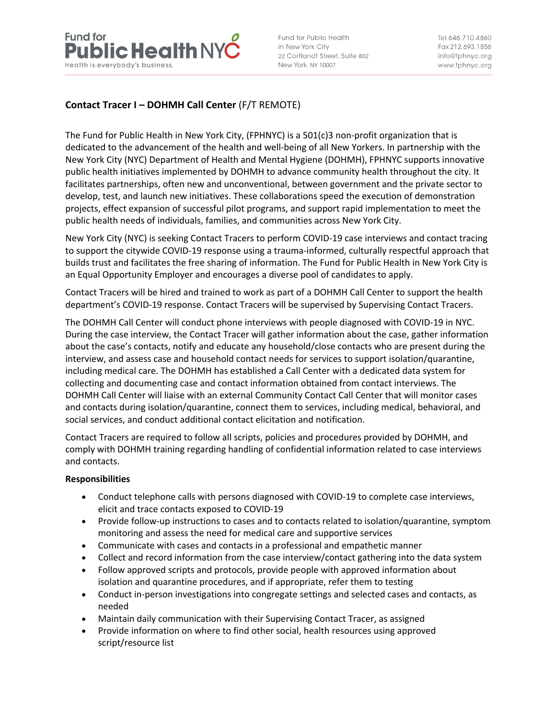

Fund for Public Health in New York City 22 Cortlandt Street, Suite 802 New York, NY 10007

Tel 646.710.4860 Fax 212,693,1856 info@fphnyc.org www.fphnyc.org

# **Contact Tracer I – DOHMH Call Center** (F/T REMOTE)

The Fund for Public Health in New York City, (FPHNYC) is a 501(c)3 non-profit organization that is dedicated to the advancement of the health and well-being of all New Yorkers. In partnership with the New York City (NYC) Department of Health and Mental Hygiene (DOHMH), FPHNYC supports innovative public health initiatives implemented by DOHMH to advance community health throughout the city. It facilitates partnerships, often new and unconventional, between government and the private sector to develop, test, and launch new initiatives. These collaborations speed the execution of demonstration projects, effect expansion of successful pilot programs, and support rapid implementation to meet the public health needs of individuals, families, and communities across New York City.

New York City (NYC) is seeking Contact Tracers to perform COVID-19 case interviews and contact tracing to support the citywide COVID-19 response using a trauma-informed, culturally respectful approach that builds trust and facilitates the free sharing of information. The Fund for Public Health in New York City is an Equal Opportunity Employer and encourages a diverse pool of candidates to apply.

Contact Tracers will be hired and trained to work as part of a DOHMH Call Center to support the health department's COVID-19 response. Contact Tracers will be supervised by Supervising Contact Tracers.

The DOHMH Call Center will conduct phone interviews with people diagnosed with COVID-19 in NYC. During the case interview, the Contact Tracer will gather information about the case, gather information about the case's contacts, notify and educate any household/close contacts who are present during the interview, and assess case and household contact needs for services to support isolation/quarantine, including medical care. The DOHMH has established a Call Center with a dedicated data system for collecting and documenting case and contact information obtained from contact interviews. The DOHMH Call Center will liaise with an external Community Contact Call Center that will monitor cases and contacts during isolation/quarantine, connect them to services, including medical, behavioral, and social services, and conduct additional contact elicitation and notification.

Contact Tracers are required to follow all scripts, policies and procedures provided by DOHMH, and comply with DOHMH training regarding handling of confidential information related to case interviews and contacts.

#### **Responsibilities**

- Conduct telephone calls with persons diagnosed with COVID-19 to complete case interviews, elicit and trace contacts exposed to COVID-19
- Provide follow-up instructions to cases and to contacts related to isolation/quarantine, symptom monitoring and assess the need for medical care and supportive services
- Communicate with cases and contacts in a professional and empathetic manner
- Collect and record information from the case interview/contact gathering into the data system
- Follow approved scripts and protocols, provide people with approved information about isolation and quarantine procedures, and if appropriate, refer them to testing
- Conduct in-person investigations into congregate settings and selected cases and contacts, as needed
- Maintain daily communication with their Supervising Contact Tracer, as assigned
- Provide information on where to find other social, health resources using approved script/resource list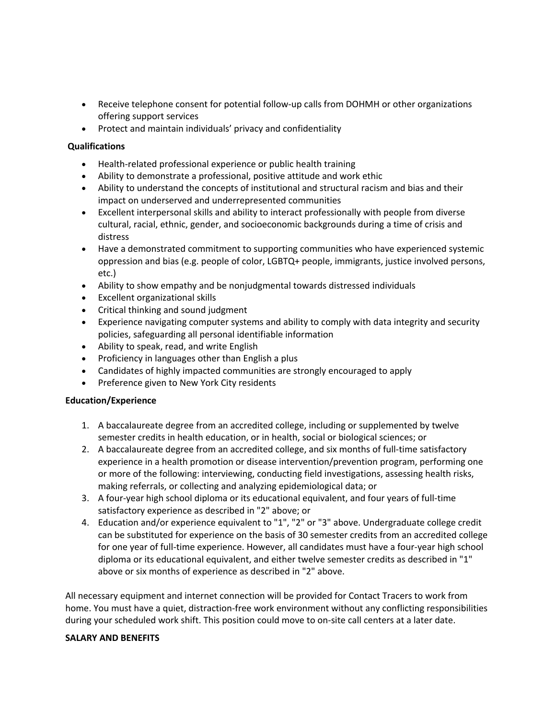- Receive telephone consent for potential follow-up calls from DOHMH or other organizations offering support services
- Protect and maintain individuals' privacy and confidentiality

### **Qualifications**

- Health-related professional experience or public health training
- Ability to demonstrate a professional, positive attitude and work ethic
- Ability to understand the concepts of institutional and structural racism and bias and their impact on underserved and underrepresented communities
- Excellent interpersonal skills and ability to interact professionally with people from diverse cultural, racial, ethnic, gender, and socioeconomic backgrounds during a time of crisis and distress
- Have a demonstrated commitment to supporting communities who have experienced systemic oppression and bias (e.g. people of color, LGBTQ+ people, immigrants, justice involved persons, etc.)
- Ability to show empathy and be nonjudgmental towards distressed individuals
- Excellent organizational skills
- Critical thinking and sound judgment
- Experience navigating computer systems and ability to comply with data integrity and security policies, safeguarding all personal identifiable information
- Ability to speak, read, and write English
- Proficiency in languages other than English a plus
- Candidates of highly impacted communities are strongly encouraged to apply
- Preference given to New York City residents

#### **Education/Experience**

- 1. A baccalaureate degree from an accredited college, including or supplemented by twelve semester credits in health education, or in health, social or biological sciences; or
- 2. A baccalaureate degree from an accredited college, and six months of full-time satisfactory experience in a health promotion or disease intervention/prevention program, performing one or more of the following: interviewing, conducting field investigations, assessing health risks, making referrals, or collecting and analyzing epidemiological data; or
- 3. A four-year high school diploma or its educational equivalent, and four years of full-time satisfactory experience as described in "2" above; or
- 4. Education and/or experience equivalent to "1", "2" or "3" above. Undergraduate college credit can be substituted for experience on the basis of 30 semester credits from an accredited college for one year of full-time experience. However, all candidates must have a four-year high school diploma or its educational equivalent, and either twelve semester credits as described in "1" above or six months of experience as described in "2" above.

All necessary equipment and internet connection will be provided for Contact Tracers to work from home. You must have a quiet, distraction-free work environment without any conflicting responsibilities during your scheduled work shift. This position could move to on-site call centers at a later date.

#### **SALARY AND BENEFITS**